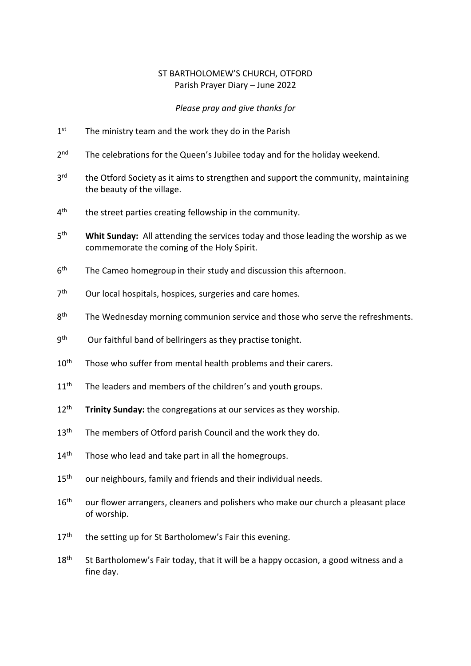## ST BARTHOLOMEW'S CHURCH, OTFORD Parish Prayer Diary – June 2022

## *Please pray and give thanks for*

- $1<sup>st</sup>$ The ministry team and the work they do in the Parish
- $2<sup>nd</sup>$ The celebrations for the Queen's Jubilee today and for the holiday weekend.
- 3<sup>rd</sup> the Otford Society as it aims to strengthen and support the community, maintaining the beauty of the village.
- $4<sup>th</sup>$ the street parties creating fellowship in the community.
- $5<sup>th</sup>$ Whit Sunday: All attending the services today and those leading the worship as we commemorate the coming of the Holy Spirit.
- $6<sup>th</sup>$ The Cameo homegroup in their study and discussion this afternoon.
- $7<sup>th</sup>$ Our local hospitals, hospices, surgeries and care homes.
- 8<sup>th</sup> The Wednesday morning communion service and those who serve the refreshments.
- **gth** Our faithful band of bellringers as they practise tonight.
- 10<sup>th</sup> Those who suffer from mental health problems and their carers.
- $11<sup>th</sup>$  The leaders and members of the children's and youth groups.
- 12<sup>th</sup> **Trinity Sunday:** the congregations at our services as they worship.
- 13<sup>th</sup> The members of Otford parish Council and the work they do.
- $14<sup>th</sup>$  Those who lead and take part in all the homegroups.
- 15<sup>th</sup> our neighbours, family and friends and their individual needs.
- 16<sup>th</sup> our flower arrangers, cleaners and polishers who make our church a pleasant place of worship.
- $17<sup>th</sup>$  the setting up for St Bartholomew's Fair this evening.
- $18<sup>th</sup>$  St Bartholomew's Fair today, that it will be a happy occasion, a good witness and a fine day.